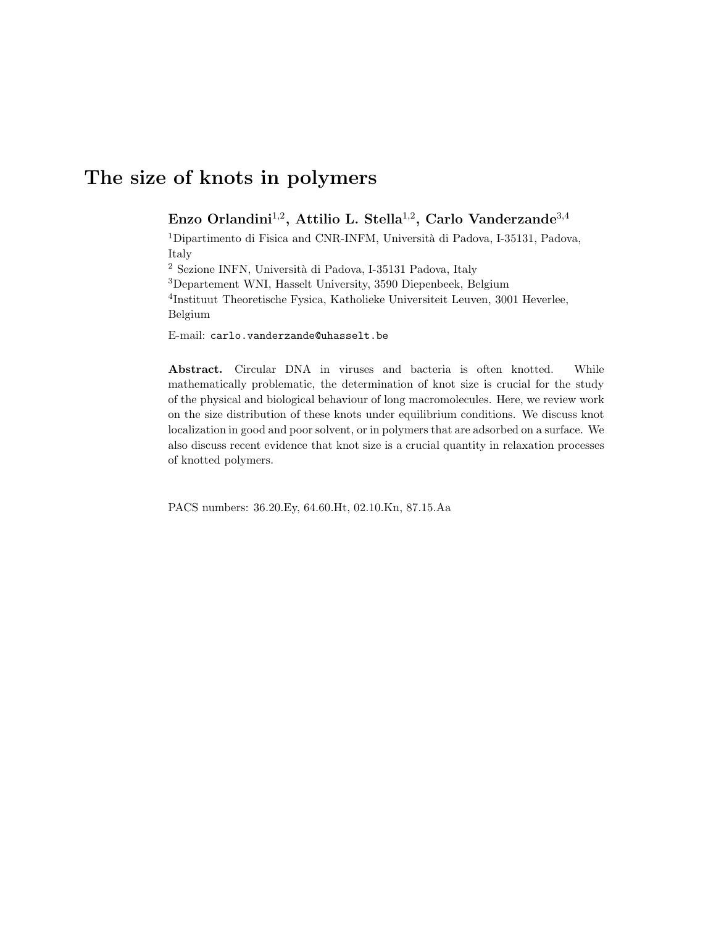# The size of knots in polymers

## Enzo Orlandini $^{1,2}$ , Attilio L. Stella $^{1,2}$ , Carlo Vanderzande $^{3,4}$

<sup>1</sup>Dipartimento di Fisica and CNR-INFM, Università di Padova, I-35131, Padova, Italy

 $^2$  Sezione INFN, Università di Padova, I-35131 Padova, Italy

<sup>3</sup>Departement WNI, Hasselt University, 3590 Diepenbeek, Belgium

4 Instituut Theoretische Fysica, Katholieke Universiteit Leuven, 3001 Heverlee, Belgium

E-mail: carlo.vanderzande@uhasselt.be

Abstract. Circular DNA in viruses and bacteria is often knotted. While mathematically problematic, the determination of knot size is crucial for the study of the physical and biological behaviour of long macromolecules. Here, we review work on the size distribution of these knots under equilibrium conditions. We discuss knot localization in good and poor solvent, or in polymers that are adsorbed on a surface. We also discuss recent evidence that knot size is a crucial quantity in relaxation processes of knotted polymers.

PACS numbers: 36.20.Ey, 64.60.Ht, 02.10.Kn, 87.15.Aa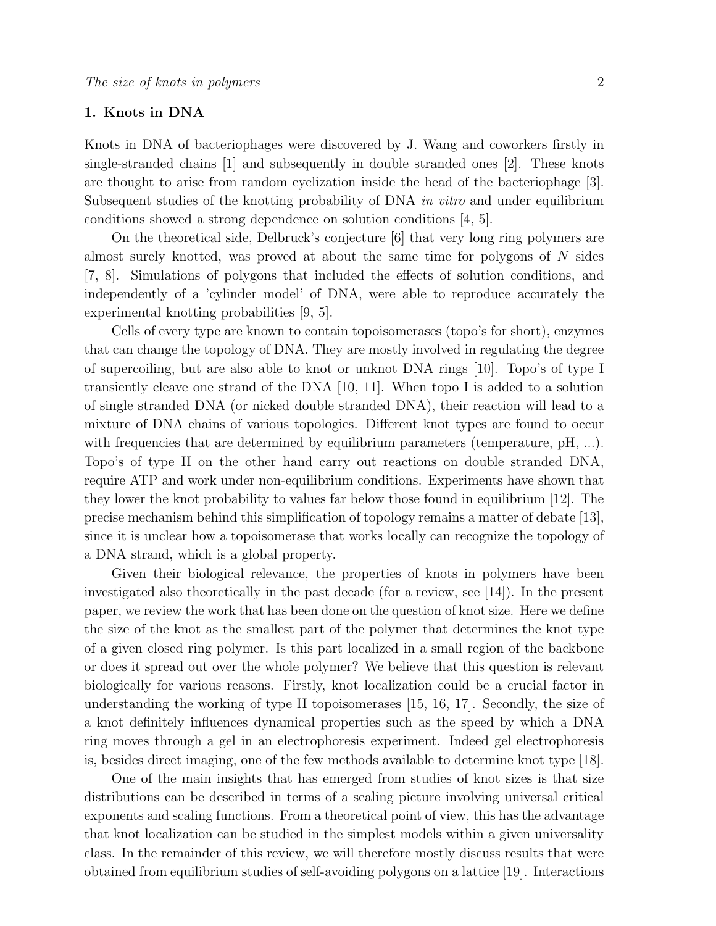## 1. Knots in DNA

Knots in DNA of bacteriophages were discovered by J. Wang and coworkers firstly in single-stranded chains [1] and subsequently in double stranded ones [2]. These knots are thought to arise from random cyclization inside the head of the bacteriophage [3]. Subsequent studies of the knotting probability of DNA in vitro and under equilibrium conditions showed a strong dependence on solution conditions [4, 5].

On the theoretical side, Delbruck's conjecture [6] that very long ring polymers are almost surely knotted, was proved at about the same time for polygons of  $N$  sides [7, 8]. Simulations of polygons that included the effects of solution conditions, and independently of a 'cylinder model' of DNA, were able to reproduce accurately the experimental knotting probabilities [9, 5].

Cells of every type are known to contain topoisomerases (topo's for short), enzymes that can change the topology of DNA. They are mostly involved in regulating the degree of supercoiling, but are also able to knot or unknot DNA rings [10]. Topo's of type I transiently cleave one strand of the DNA [10, 11]. When topo I is added to a solution of single stranded DNA (or nicked double stranded DNA), their reaction will lead to a mixture of DNA chains of various topologies. Different knot types are found to occur with frequencies that are determined by equilibrium parameters (temperature, pH, ...). Topo's of type II on the other hand carry out reactions on double stranded DNA, require ATP and work under non-equilibrium conditions. Experiments have shown that they lower the knot probability to values far below those found in equilibrium [12]. The precise mechanism behind this simplification of topology remains a matter of debate [13], since it is unclear how a topoisomerase that works locally can recognize the topology of a DNA strand, which is a global property.

Given their biological relevance, the properties of knots in polymers have been investigated also theoretically in the past decade (for a review, see [14]). In the present paper, we review the work that has been done on the question of knot size. Here we define the size of the knot as the smallest part of the polymer that determines the knot type of a given closed ring polymer. Is this part localized in a small region of the backbone or does it spread out over the whole polymer? We believe that this question is relevant biologically for various reasons. Firstly, knot localization could be a crucial factor in understanding the working of type II topoisomerases [15, 16, 17]. Secondly, the size of a knot definitely influences dynamical properties such as the speed by which a DNA ring moves through a gel in an electrophoresis experiment. Indeed gel electrophoresis is, besides direct imaging, one of the few methods available to determine knot type [18].

One of the main insights that has emerged from studies of knot sizes is that size distributions can be described in terms of a scaling picture involving universal critical exponents and scaling functions. From a theoretical point of view, this has the advantage that knot localization can be studied in the simplest models within a given universality class. In the remainder of this review, we will therefore mostly discuss results that were obtained from equilibrium studies of self-avoiding polygons on a lattice [19]. Interactions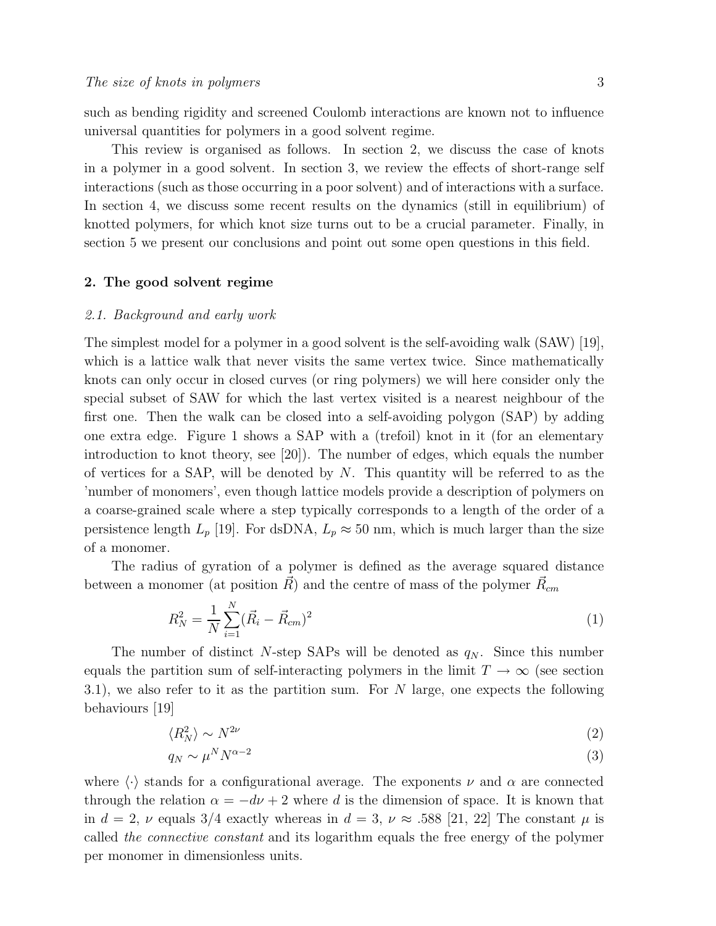such as bending rigidity and screened Coulomb interactions are known not to influence universal quantities for polymers in a good solvent regime.

This review is organised as follows. In section 2, we discuss the case of knots in a polymer in a good solvent. In section 3, we review the effects of short-range self interactions (such as those occurring in a poor solvent) and of interactions with a surface. In section 4, we discuss some recent results on the dynamics (still in equilibrium) of knotted polymers, for which knot size turns out to be a crucial parameter. Finally, in section 5 we present our conclusions and point out some open questions in this field.

## 2. The good solvent regime

#### 2.1. Background and early work

The simplest model for a polymer in a good solvent is the self-avoiding walk (SAW) [19], which is a lattice walk that never visits the same vertex twice. Since mathematically knots can only occur in closed curves (or ring polymers) we will here consider only the special subset of SAW for which the last vertex visited is a nearest neighbour of the first one. Then the walk can be closed into a self-avoiding polygon (SAP) by adding one extra edge. Figure 1 shows a SAP with a (trefoil) knot in it (for an elementary introduction to knot theory, see [20]). The number of edges, which equals the number of vertices for a SAP, will be denoted by  $N$ . This quantity will be referred to as the 'number of monomers', even though lattice models provide a description of polymers on a coarse-grained scale where a step typically corresponds to a length of the order of a persistence length  $L_p$  [19]. For dsDNA,  $L_p \approx 50$  nm, which is much larger than the size of a monomer.

The radius of gyration of a polymer is defined as the average squared distance between a monomer (at position  $\vec{R}$ ) and the centre of mass of the polymer  $\vec{R}_{cm}$ 

$$
R_N^2 = \frac{1}{N} \sum_{i=1}^N (\vec{R}_i - \vec{R}_{cm})^2
$$
 (1)

The number of distinct N-step SAPs will be denoted as  $q_N$ . Since this number equals the partition sum of self-interacting polymers in the limit  $T \to \infty$  (see section 3.1), we also refer to it as the partition sum. For N large, one expects the following behaviours [19]

$$
\langle R_N^2 \rangle \sim N^{2\nu} \tag{2}
$$

$$
q_N \sim \mu^N N^{\alpha - 2} \tag{3}
$$

where  $\langle \cdot \rangle$  stands for a configurational average. The exponents  $\nu$  and  $\alpha$  are connected through the relation  $\alpha = -d\nu + 2$  where d is the dimension of space. It is known that in  $d = 2$ ,  $\nu$  equals 3/4 exactly whereas in  $d = 3$ ,  $\nu \approx .588$  [21, 22] The constant  $\mu$  is called the connective constant and its logarithm equals the free energy of the polymer per monomer in dimensionless units.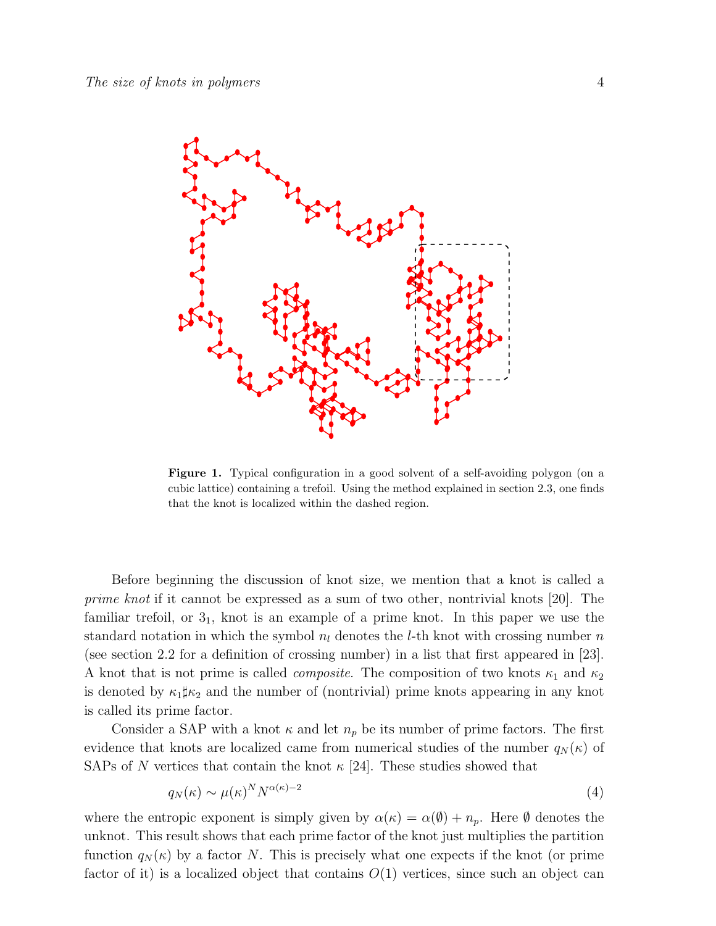

Figure 1. Typical configuration in a good solvent of a self-avoiding polygon (on a cubic lattice) containing a trefoil. Using the method explained in section 2.3, one finds that the knot is localized within the dashed region.

Before beginning the discussion of knot size, we mention that a knot is called a prime knot if it cannot be expressed as a sum of two other, nontrivial knots [20]. The familiar trefoil, or  $3<sub>1</sub>$ , knot is an example of a prime knot. In this paper we use the standard notation in which the symbol  $n_l$  denotes the *l*-th knot with crossing number n (see section 2.2 for a definition of crossing number) in a list that first appeared in [23]. A knot that is not prime is called *composite*. The composition of two knots  $\kappa_1$  and  $\kappa_2$ is denoted by  $\kappa_1 \sharp \kappa_2$  and the number of (nontrivial) prime knots appearing in any knot is called its prime factor.

Consider a SAP with a knot  $\kappa$  and let  $n_p$  be its number of prime factors. The first evidence that knots are localized came from numerical studies of the number  $q_N(\kappa)$  of SAPs of N vertices that contain the knot  $\kappa$  [24]. These studies showed that

$$
q_N(\kappa) \sim \mu(\kappa)^N N^{\alpha(\kappa)-2} \tag{4}
$$

where the entropic exponent is simply given by  $\alpha(\kappa) = \alpha(\emptyset) + n_p$ . Here  $\emptyset$  denotes the unknot. This result shows that each prime factor of the knot just multiplies the partition function  $q_N(\kappa)$  by a factor N. This is precisely what one expects if the knot (or prime factor of it) is a localized object that contains  $O(1)$  vertices, since such an object can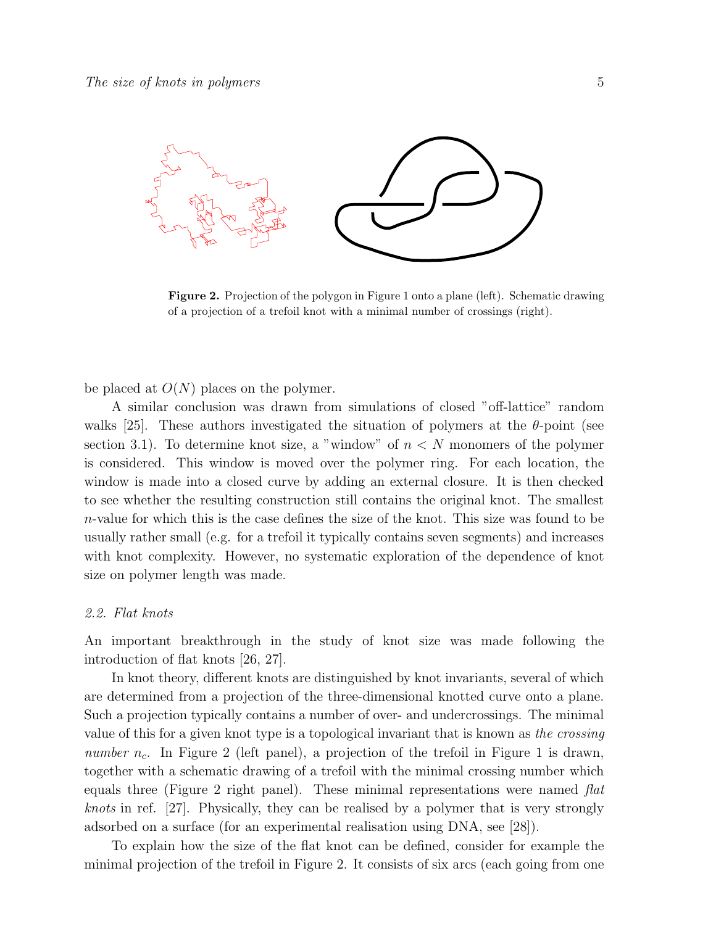

Figure 2. Projection of the polygon in Figure 1 onto a plane (left). Schematic drawing of a projection of a trefoil knot with a minimal number of crossings (right).

be placed at  $O(N)$  places on the polymer.

A similar conclusion was drawn from simulations of closed "off-lattice" random walks [25]. These authors investigated the situation of polymers at the  $\theta$ -point (see section 3.1). To determine knot size, a "window" of  $n < N$  monomers of the polymer is considered. This window is moved over the polymer ring. For each location, the window is made into a closed curve by adding an external closure. It is then checked to see whether the resulting construction still contains the original knot. The smallest n-value for which this is the case defines the size of the knot. This size was found to be usually rather small (e.g. for a trefoil it typically contains seven segments) and increases with knot complexity. However, no systematic exploration of the dependence of knot size on polymer length was made.

#### 2.2. Flat knots

An important breakthrough in the study of knot size was made following the introduction of flat knots [26, 27].

In knot theory, different knots are distinguished by knot invariants, several of which are determined from a projection of the three-dimensional knotted curve onto a plane. Such a projection typically contains a number of over- and undercrossings. The minimal value of this for a given knot type is a topological invariant that is known as the crossing number  $n_c$ . In Figure 2 (left panel), a projection of the trefoil in Figure 1 is drawn, together with a schematic drawing of a trefoil with the minimal crossing number which equals three (Figure 2 right panel). These minimal representations were named  $flat$ knots in ref. [27]. Physically, they can be realised by a polymer that is very strongly adsorbed on a surface (for an experimental realisation using DNA, see [28]).

To explain how the size of the flat knot can be defined, consider for example the minimal projection of the trefoil in Figure 2. It consists of six arcs (each going from one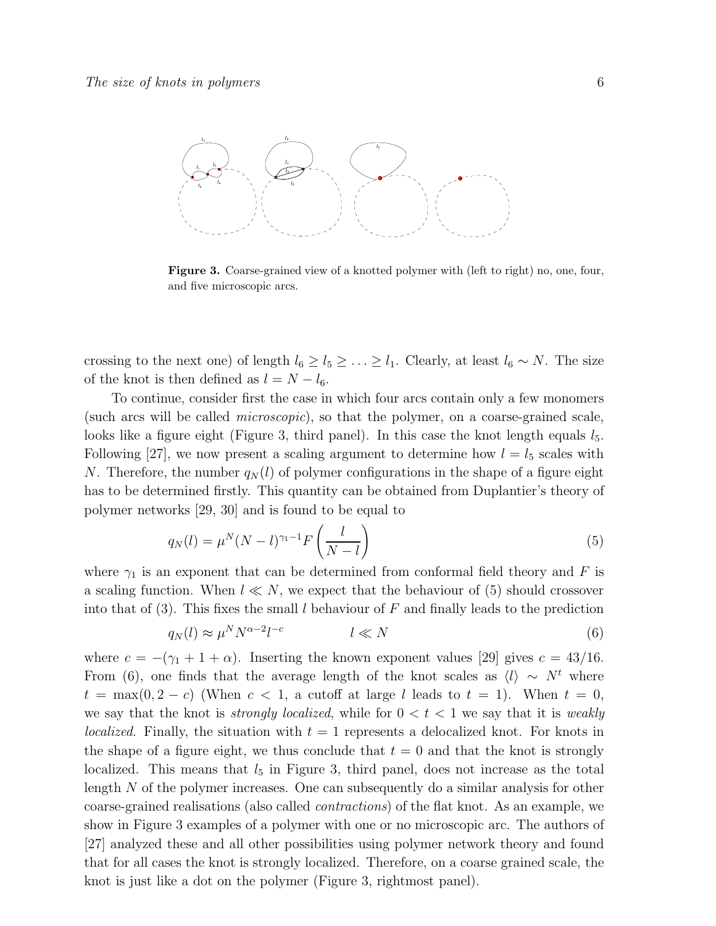

Figure 3. Coarse-grained view of a knotted polymer with (left to right) no, one, four, and five microscopic arcs.

crossing to the next one) of length  $l_6 \geq l_5 \geq \ldots \geq l_1$ . Clearly, at least  $l_6 \sim N$ . The size of the knot is then defined as  $l = N - l_6$ .

To continue, consider first the case in which four arcs contain only a few monomers (such arcs will be called microscopic), so that the polymer, on a coarse-grained scale, looks like a figure eight (Figure 3, third panel). In this case the knot length equals  $l_5$ . Following [27], we now present a scaling argument to determine how  $l = l_5$  scales with N. Therefore, the number  $q_N(l)$  of polymer configurations in the shape of a figure eight has to be determined firstly. This quantity can be obtained from Duplantier's theory of polymer networks [29, 30] and is found to be equal to

$$
q_N(l) = \mu^N (N - l)^{\gamma_1 - 1} F\left(\frac{l}{N - l}\right) \tag{5}
$$

where  $\gamma_1$  is an exponent that can be determined from conformal field theory and F is a scaling function. When  $l \ll N$ , we expect that the behaviour of (5) should crossover into that of (3). This fixes the small l behaviour of F and finally leads to the prediction

$$
q_N(l) \approx \mu^N N^{\alpha - 2} l^{-c} \qquad \qquad l \ll N \tag{6}
$$

where  $c = -(\gamma_1 + 1 + \alpha)$ . Inserting the known exponent values [29] gives  $c = 43/16$ . From (6), one finds that the average length of the knot scales as  $\langle l \rangle \sim N^t$  where  $t = \max(0, 2 - c)$  (When  $c < 1$ , a cutoff at large l leads to  $t = 1$ ). When  $t = 0$ , we say that the knot is *strongly localized*, while for  $0 < t < 1$  we say that it is *weakly localized.* Finally, the situation with  $t = 1$  represents a delocalized knot. For knots in the shape of a figure eight, we thus conclude that  $t = 0$  and that the knot is strongly localized. This means that  $l_5$  in Figure 3, third panel, does not increase as the total length N of the polymer increases. One can subsequently do a similar analysis for other coarse-grained realisations (also called contractions) of the flat knot. As an example, we show in Figure 3 examples of a polymer with one or no microscopic arc. The authors of [27] analyzed these and all other possibilities using polymer network theory and found that for all cases the knot is strongly localized. Therefore, on a coarse grained scale, the knot is just like a dot on the polymer (Figure 3, rightmost panel).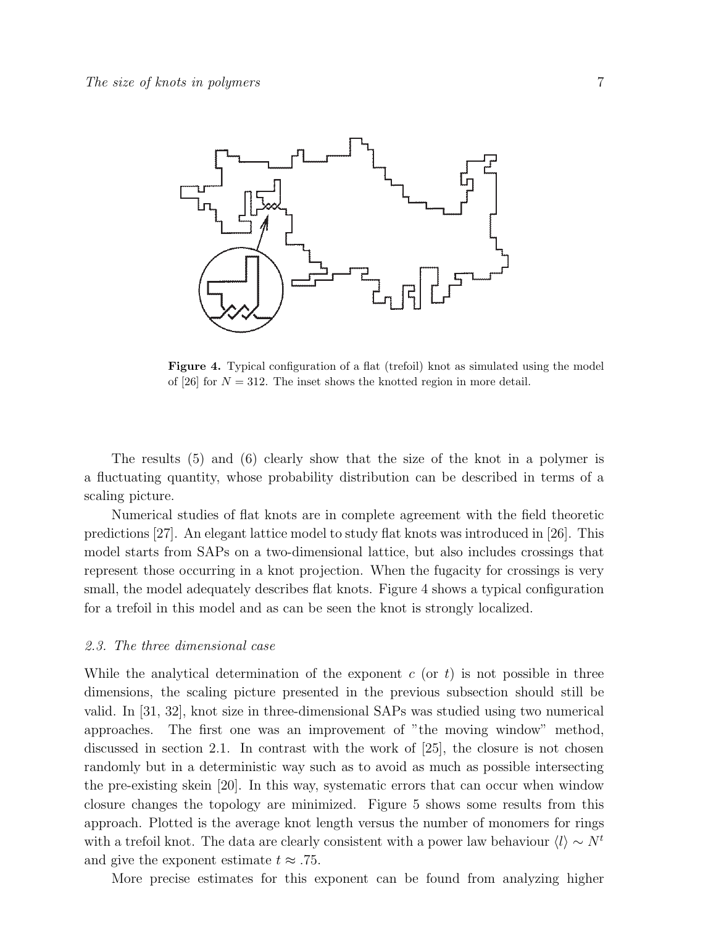

Figure 4. Typical configuration of a flat (trefoil) knot as simulated using the model of [26] for  $N = 312$ . The inset shows the knotted region in more detail.

The results (5) and (6) clearly show that the size of the knot in a polymer is a fluctuating quantity, whose probability distribution can be described in terms of a scaling picture.

Numerical studies of flat knots are in complete agreement with the field theoretic predictions [27]. An elegant lattice model to study flat knots was introduced in [26]. This model starts from SAPs on a two-dimensional lattice, but also includes crossings that represent those occurring in a knot projection. When the fugacity for crossings is very small, the model adequately describes flat knots. Figure 4 shows a typical configuration for a trefoil in this model and as can be seen the knot is strongly localized.

#### 2.3. The three dimensional case

While the analytical determination of the exponent  $c$  (or  $t$ ) is not possible in three dimensions, the scaling picture presented in the previous subsection should still be valid. In [31, 32], knot size in three-dimensional SAPs was studied using two numerical approaches. The first one was an improvement of "the moving window" method, discussed in section 2.1. In contrast with the work of [25], the closure is not chosen randomly but in a deterministic way such as to avoid as much as possible intersecting the pre-existing skein [20]. In this way, systematic errors that can occur when window closure changes the topology are minimized. Figure 5 shows some results from this approach. Plotted is the average knot length versus the number of monomers for rings with a trefoil knot. The data are clearly consistent with a power law behaviour  $\langle l \rangle \sim N^t$ and give the exponent estimate  $t \approx .75$ .

More precise estimates for this exponent can be found from analyzing higher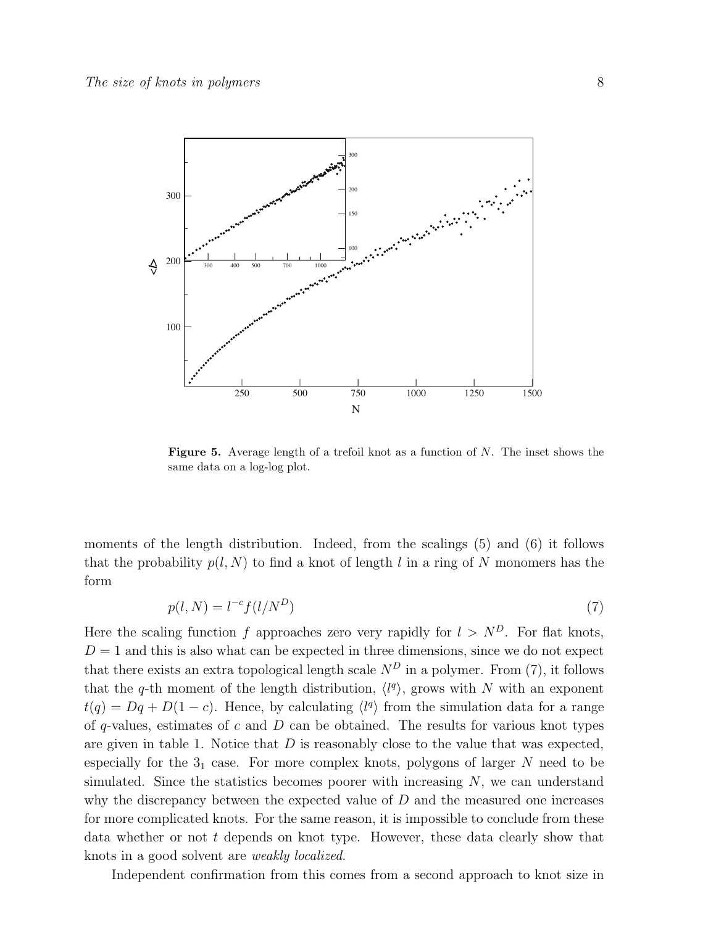

**Figure 5.** Average length of a trefoil knot as a function of  $N$ . The inset shows the same data on a log-log plot.

moments of the length distribution. Indeed, from the scalings (5) and (6) it follows that the probability  $p(l, N)$  to find a knot of length l in a ring of N monomers has the form

$$
p(l, N) = l^{-c} f(l/N^D)
$$
\n<sup>(7)</sup>

Here the scaling function f approaches zero very rapidly for  $l > N<sup>D</sup>$ . For flat knots,  $D = 1$  and this is also what can be expected in three dimensions, since we do not expect that there exists an extra topological length scale  $N<sup>D</sup>$  in a polymer. From (7), it follows that the q-th moment of the length distribution,  $\langle l^q \rangle$ , grows with N with an exponent  $t(q) = Dq + D(1 - c)$ . Hence, by calculating  $\langle l^q \rangle$  from the simulation data for a range of q-values, estimates of  $c$  and  $D$  can be obtained. The results for various knot types are given in table 1. Notice that  $D$  is reasonably close to the value that was expected, especially for the  $3<sub>1</sub>$  case. For more complex knots, polygons of larger N need to be simulated. Since the statistics becomes poorer with increasing  $N$ , we can understand why the discrepancy between the expected value of  $D$  and the measured one increases for more complicated knots. For the same reason, it is impossible to conclude from these data whether or not t depends on knot type. However, these data clearly show that knots in a good solvent are weakly localized.

Independent confirmation from this comes from a second approach to knot size in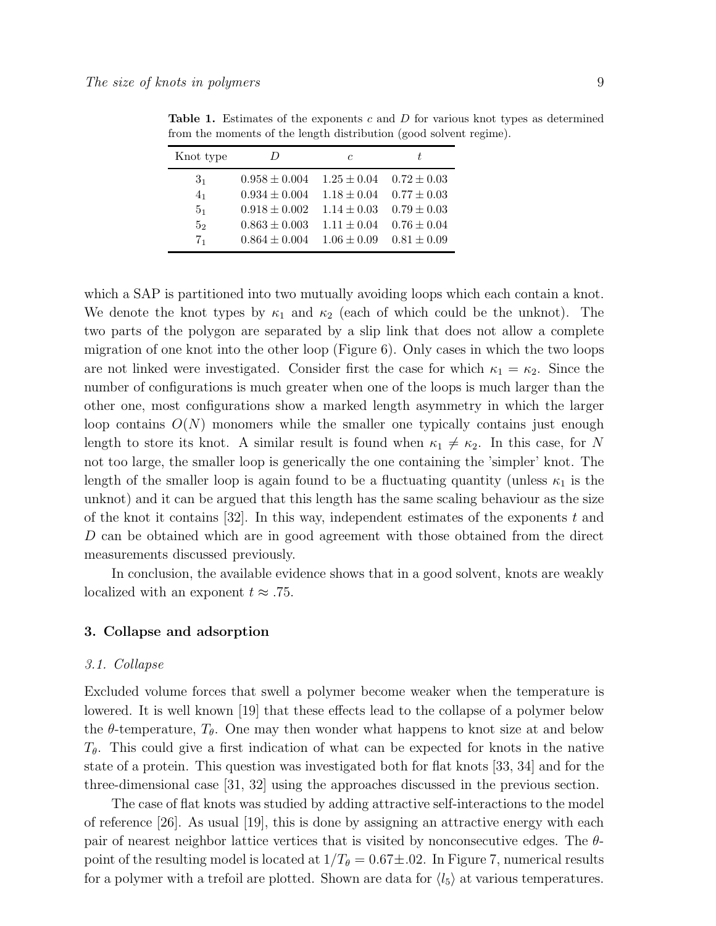| Knot type      | $\prime$          | C               | t.              |
|----------------|-------------------|-----------------|-----------------|
| 3 <sub>1</sub> | $0.958 \pm 0.004$ | $1.25 \pm 0.04$ | $0.72 \pm 0.03$ |
| 4 <sub>1</sub> | $0.934 \pm 0.004$ | $1.18 \pm 0.04$ | $0.77 \pm 0.03$ |
| 5 <sub>1</sub> | $0.918 \pm 0.002$ | $1.14 \pm 0.03$ | $0.79 \pm 0.03$ |
| 5 <sub>2</sub> | $0.863 \pm 0.003$ | $1.11 \pm 0.04$ | $0.76 \pm 0.04$ |
| 7 <sub>1</sub> | $0.864 \pm 0.004$ | $1.06 \pm 0.09$ | $0.81 \pm 0.09$ |

**Table 1.** Estimates of the exponents c and D for various knot types as determined from the moments of the length distribution (good solvent regime).

which a SAP is partitioned into two mutually avoiding loops which each contain a knot. We denote the knot types by  $\kappa_1$  and  $\kappa_2$  (each of which could be the unknot). The two parts of the polygon are separated by a slip link that does not allow a complete migration of one knot into the other loop (Figure 6). Only cases in which the two loops are not linked were investigated. Consider first the case for which  $\kappa_1 = \kappa_2$ . Since the number of configurations is much greater when one of the loops is much larger than the other one, most configurations show a marked length asymmetry in which the larger loop contains  $O(N)$  monomers while the smaller one typically contains just enough length to store its knot. A similar result is found when  $\kappa_1 \neq \kappa_2$ . In this case, for N not too large, the smaller loop is generically the one containing the 'simpler' knot. The length of the smaller loop is again found to be a fluctuating quantity (unless  $\kappa_1$  is the unknot) and it can be argued that this length has the same scaling behaviour as the size of the knot it contains  $|32|$ . In this way, independent estimates of the exponents t and D can be obtained which are in good agreement with those obtained from the direct measurements discussed previously.

In conclusion, the available evidence shows that in a good solvent, knots are weakly localized with an exponent  $t \approx .75$ .

#### 3. Collapse and adsorption

## 3.1. Collapse

Excluded volume forces that swell a polymer become weaker when the temperature is lowered. It is well known [19] that these effects lead to the collapse of a polymer below the  $\theta$ -temperature,  $T_{\theta}$ . One may then wonder what happens to knot size at and below  $T_{\theta}$ . This could give a first indication of what can be expected for knots in the native state of a protein. This question was investigated both for flat knots [33, 34] and for the three-dimensional case [31, 32] using the approaches discussed in the previous section.

The case of flat knots was studied by adding attractive self-interactions to the model of reference [26]. As usual [19], this is done by assigning an attractive energy with each pair of nearest neighbor lattice vertices that is visited by nonconsecutive edges. The  $\theta$ point of the resulting model is located at  $1/T_{\theta} = 0.67 \pm .02$ . In Figure 7, numerical results for a polymer with a trefoil are plotted. Shown are data for  $\langle l_5 \rangle$  at various temperatures.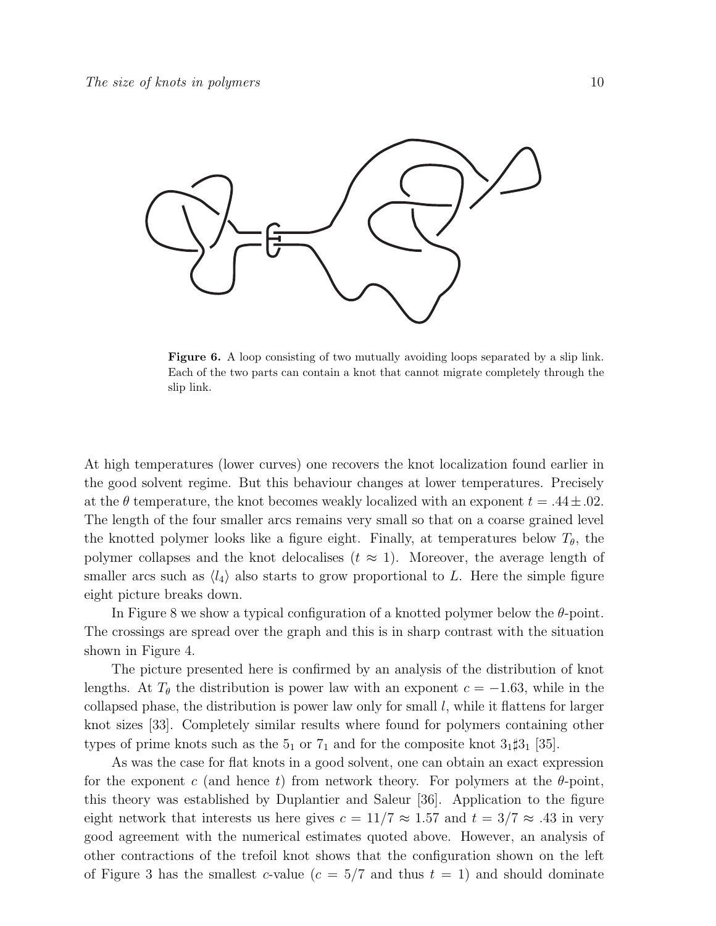

Figure 6. A loop consisting of two mutually avoiding loops separated by a slip link. Each of the two parts can contain a knot that cannot migrate completely through the slip link.

At high temperatures (lower curves) one recovers the knot localization found earlier in the good solvent regime. But this behaviour changes at lower temperatures. Precisely at the  $\theta$  temperature, the knot becomes weakly localized with an exponent  $t = .44 \pm .02$ . The length of the four smaller arcs remains very small so that on a coarse grained level the knotted polymer looks like a figure eight. Finally, at temperatures below  $T_{\theta}$ , the polymer collapses and the knot delocalises  $(t \approx 1)$ . Moreover, the average length of smaller arcs such as  $\langle l_4 \rangle$  also starts to grow proportional to L. Here the simple figure eight picture breaks down.

In Figure 8 we show a typical configuration of a knotted polymer below the  $\theta$ -point. The crossings are spread over the graph and this is in sharp contrast with the situation shown in Figure 4.

The picture presented here is confirmed by an analysis of the distribution of knot lengths. At  $T_{\theta}$  the distribution is power law with an exponent  $c = -1.63$ , while in the collapsed phase, the distribution is power law only for small  $l$ , while it flattens for larger knot sizes [33]. Completely similar results where found for polymers containing other types of prime knots such as the  $5<sub>1</sub>$  or  $7<sub>1</sub>$  and for the composite knot  $3<sub>1</sub>\uparrow 3<sub>1</sub>$  [35].

As was the case for flat knots in a good solvent, one can obtain an exact expression for the exponent c (and hence t) from network theory. For polymers at the  $\theta$ -point, this theory was established by Duplantier and Saleur [36]. Application to the figure eight network that interests us here gives  $c = 11/7 \approx 1.57$  and  $t = 3/7 \approx .43$  in very good agreement with the numerical estimates quoted above. However, an analysis of other contractions of the trefoil knot shows that the configuration shown on the left of Figure 3 has the smallest c-value  $(c = 5/7$  and thus  $t = 1)$  and should dominate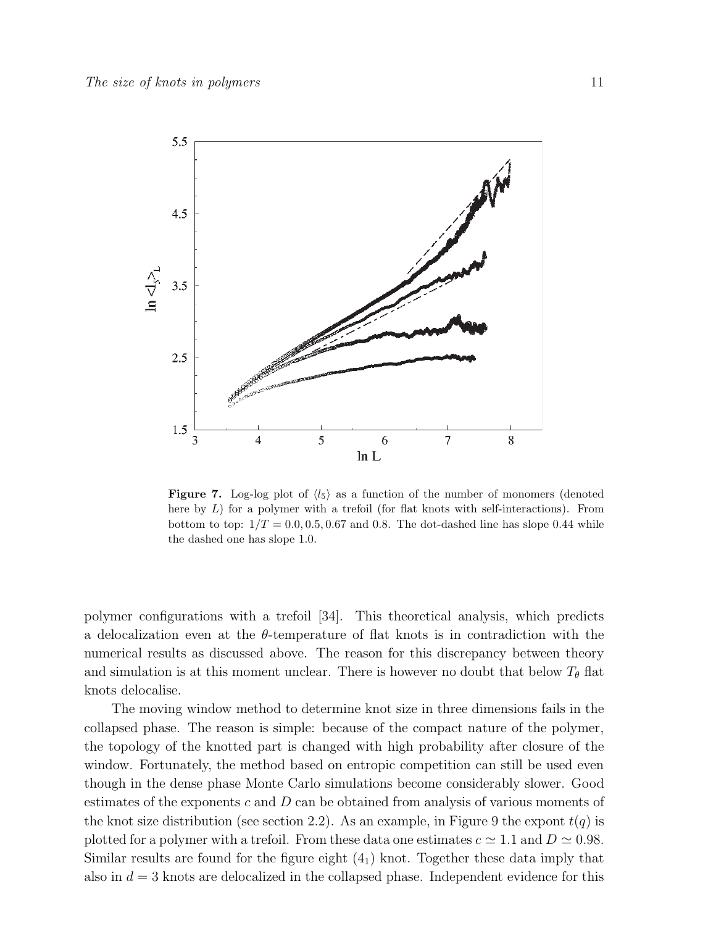

Figure 7. Log-log plot of  $\langle l_5 \rangle$  as a function of the number of monomers (denoted here by  $L$ ) for a polymer with a trefoil (for flat knots with self-interactions). From bottom to top:  $1/T = 0.0, 0.5, 0.67$  and 0.8. The dot-dashed line has slope 0.44 while the dashed one has slope 1.0.

polymer configurations with a trefoil [34]. This theoretical analysis, which predicts a delocalization even at the θ-temperature of flat knots is in contradiction with the numerical results as discussed above. The reason for this discrepancy between theory and simulation is at this moment unclear. There is however no doubt that below  $T_{\theta}$  flat knots delocalise.

The moving window method to determine knot size in three dimensions fails in the collapsed phase. The reason is simple: because of the compact nature of the polymer, the topology of the knotted part is changed with high probability after closure of the window. Fortunately, the method based on entropic competition can still be used even though in the dense phase Monte Carlo simulations become considerably slower. Good estimates of the exponents c and D can be obtained from analysis of various moments of the knot size distribution (see section 2.2). As an example, in Figure 9 the expont  $t(q)$  is plotted for a polymer with a trefoil. From these data one estimates  $c \approx 1.1$  and  $D \approx 0.98$ . Similar results are found for the figure eight  $(4<sub>1</sub>)$  knot. Together these data imply that also in  $d = 3$  knots are delocalized in the collapsed phase. Independent evidence for this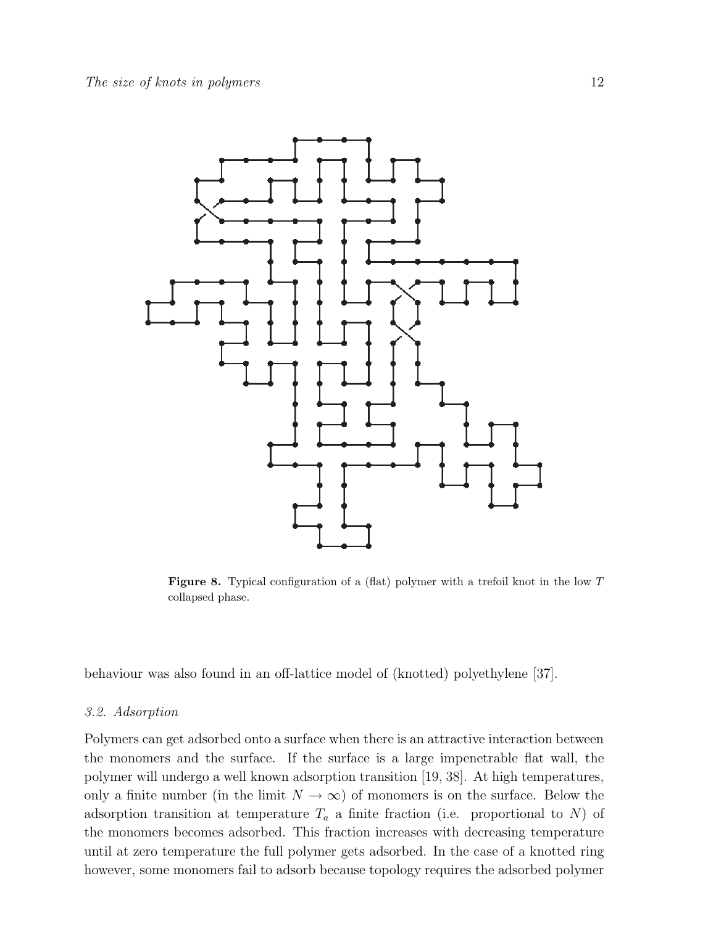

Figure 8. Typical configuration of a (flat) polymer with a trefoil knot in the low T collapsed phase.

behaviour was also found in an off-lattice model of (knotted) polyethylene [37].

#### 3.2. Adsorption

Polymers can get adsorbed onto a surface when there is an attractive interaction between the monomers and the surface. If the surface is a large impenetrable flat wall, the polymer will undergo a well known adsorption transition [19, 38]. At high temperatures, only a finite number (in the limit  $N \to \infty$ ) of monomers is on the surface. Below the adsorption transition at temperature  $T_a$  a finite fraction (i.e. proportional to N) of the monomers becomes adsorbed. This fraction increases with decreasing temperature until at zero temperature the full polymer gets adsorbed. In the case of a knotted ring however, some monomers fail to adsorb because topology requires the adsorbed polymer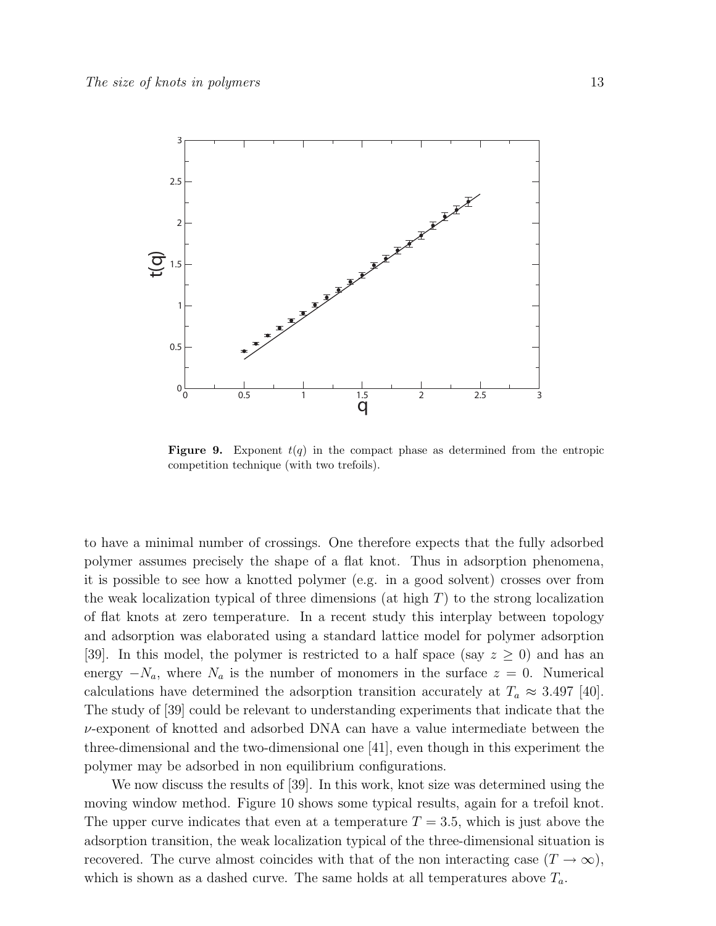

**Figure 9.** Exponent  $t(q)$  in the compact phase as determined from the entropic competition technique (with two trefoils).

to have a minimal number of crossings. One therefore expects that the fully adsorbed polymer assumes precisely the shape of a flat knot. Thus in adsorption phenomena, it is possible to see how a knotted polymer (e.g. in a good solvent) crosses over from the weak localization typical of three dimensions (at high  $T$ ) to the strong localization of flat knots at zero temperature. In a recent study this interplay between topology and adsorption was elaborated using a standard lattice model for polymer adsorption [39]. In this model, the polymer is restricted to a half space (say  $z \geq 0$ ) and has an energy  $-N_a$ , where  $N_a$  is the number of monomers in the surface  $z = 0$ . Numerical calculations have determined the adsorption transition accurately at  $T_a \approx 3.497$  [40]. The study of [39] could be relevant to understanding experiments that indicate that the  $\nu$ -exponent of knotted and adsorbed DNA can have a value intermediate between the three-dimensional and the two-dimensional one [41], even though in this experiment the polymer may be adsorbed in non equilibrium configurations.

We now discuss the results of [39]. In this work, knot size was determined using the moving window method. Figure 10 shows some typical results, again for a trefoil knot. The upper curve indicates that even at a temperature  $T = 3.5$ , which is just above the adsorption transition, the weak localization typical of the three-dimensional situation is recovered. The curve almost coincides with that of the non interacting case  $(T \to \infty)$ , which is shown as a dashed curve. The same holds at all temperatures above  $T_a$ .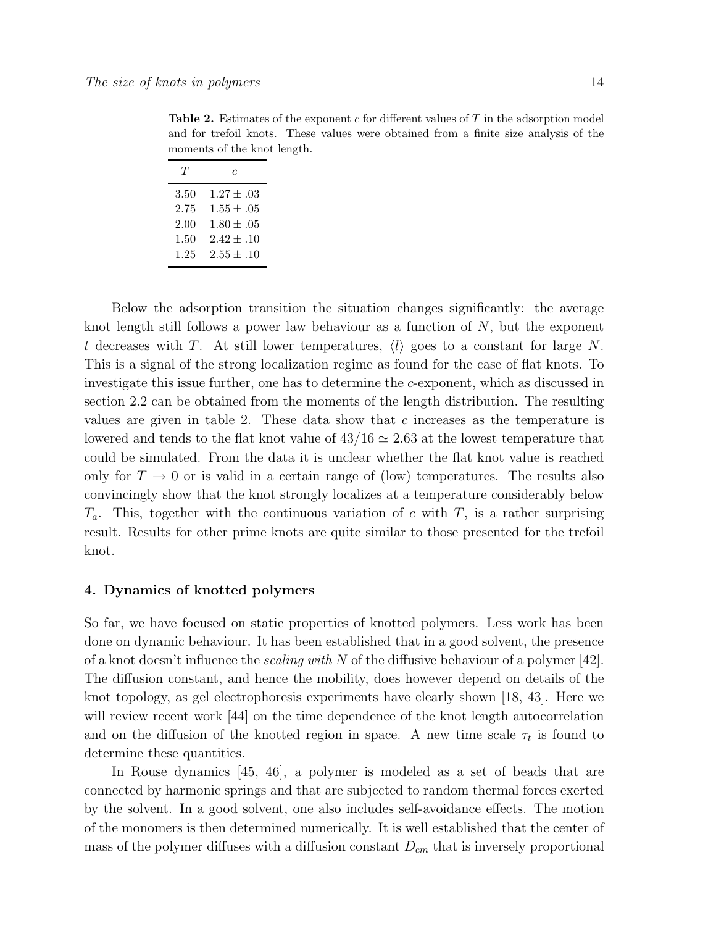**Table 2.** Estimates of the exponent c for different values of  $T$  in the adsorption model and for trefoil knots. These values were obtained from a finite size analysis of the moments of the knot length.

| Ί'   | c              |
|------|----------------|
| 3.50 | $1.27 + .03$   |
| 2.75 | $1.55 \pm .05$ |
| 2.00 | $1.80 + .05$   |
| 1.50 | $2.42 \pm .10$ |
| 1.25 | $2.55 \pm .10$ |

Below the adsorption transition the situation changes significantly: the average knot length still follows a power law behaviour as a function of  $N$ , but the exponent t decreases with T. At still lower temperatures,  $\langle l \rangle$  goes to a constant for large N. This is a signal of the strong localization regime as found for the case of flat knots. To investigate this issue further, one has to determine the c-exponent, which as discussed in section 2.2 can be obtained from the moments of the length distribution. The resulting values are given in table 2. These data show that  $c$  increases as the temperature is lowered and tends to the flat knot value of  $43/16 \simeq 2.63$  at the lowest temperature that could be simulated. From the data it is unclear whether the flat knot value is reached only for  $T \to 0$  or is valid in a certain range of (low) temperatures. The results also convincingly show that the knot strongly localizes at a temperature considerably below  $T_a$ . This, together with the continuous variation of c with T, is a rather surprising result. Results for other prime knots are quite similar to those presented for the trefoil knot.

## 4. Dynamics of knotted polymers

So far, we have focused on static properties of knotted polymers. Less work has been done on dynamic behaviour. It has been established that in a good solvent, the presence of a knot doesn't influence the *scaling with* N of the diffusive behaviour of a polymer [42]. The diffusion constant, and hence the mobility, does however depend on details of the knot topology, as gel electrophoresis experiments have clearly shown [18, 43]. Here we will review recent work [44] on the time dependence of the knot length autocorrelation and on the diffusion of the knotted region in space. A new time scale  $\tau_t$  is found to determine these quantities.

In Rouse dynamics [45, 46], a polymer is modeled as a set of beads that are connected by harmonic springs and that are subjected to random thermal forces exerted by the solvent. In a good solvent, one also includes self-avoidance effects. The motion of the monomers is then determined numerically. It is well established that the center of mass of the polymer diffuses with a diffusion constant  $D_{cm}$  that is inversely proportional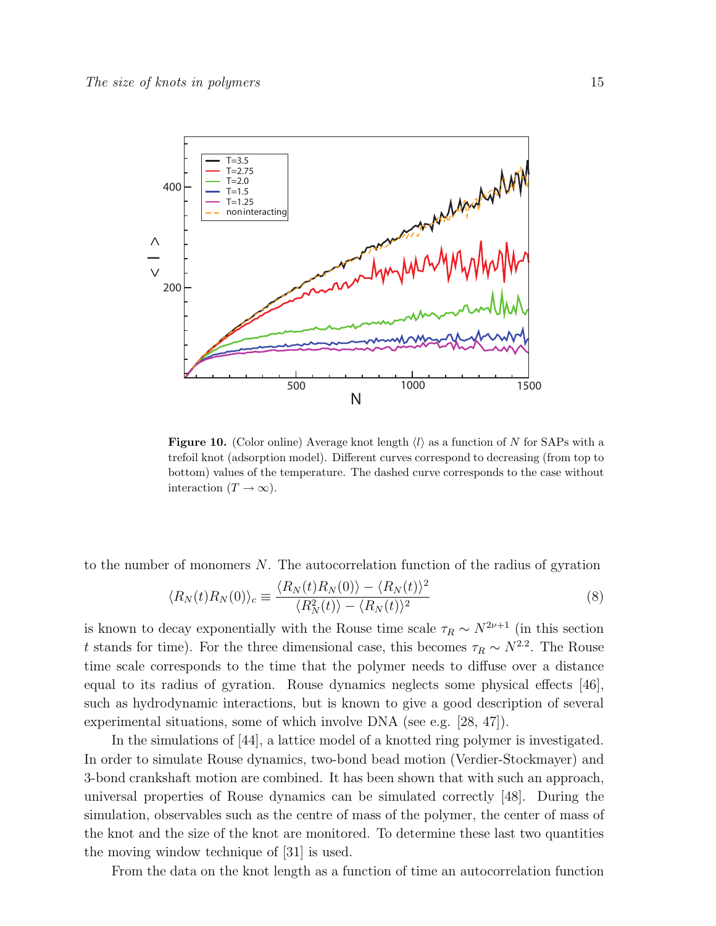

Figure 10. (Color online) Average knot length  $\langle l \rangle$  as a function of N for SAPs with a trefoil knot (adsorption model). Different curves correspond to decreasing (from top to bottom) values of the temperature. The dashed curve corresponds to the case without interaction  $(T \to \infty)$ .

to the number of monomers  $N$ . The autocorrelation function of the radius of gyration

$$
\langle R_N(t)R_N(0)\rangle_c \equiv \frac{\langle R_N(t)R_N(0)\rangle - \langle R_N(t)\rangle^2}{\langle R_N^2(t)\rangle - \langle R_N(t)\rangle^2}
$$
\n(8)

is known to decay exponentially with the Rouse time scale  $\tau_R \sim N^{2\nu+1}$  (in this section t stands for time). For the three dimensional case, this becomes  $\tau_R \sim N^{2.2}$ . The Rouse time scale corresponds to the time that the polymer needs to diffuse over a distance equal to its radius of gyration. Rouse dynamics neglects some physical effects [46], such as hydrodynamic interactions, but is known to give a good description of several experimental situations, some of which involve DNA (see e.g. [28, 47]).

In the simulations of [44], a lattice model of a knotted ring polymer is investigated. In order to simulate Rouse dynamics, two-bond bead motion (Verdier-Stockmayer) and 3-bond crankshaft motion are combined. It has been shown that with such an approach, universal properties of Rouse dynamics can be simulated correctly [48]. During the simulation, observables such as the centre of mass of the polymer, the center of mass of the knot and the size of the knot are monitored. To determine these last two quantities the moving window technique of [31] is used.

From the data on the knot length as a function of time an autocorrelation function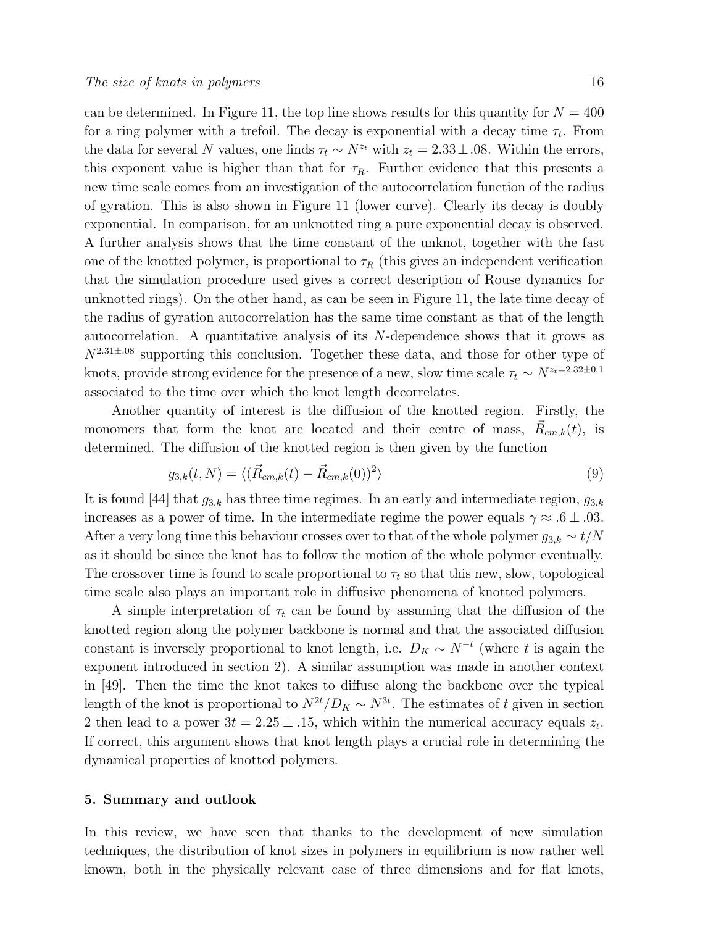can be determined. In Figure 11, the top line shows results for this quantity for  $N = 400$ for a ring polymer with a trefoil. The decay is exponential with a decay time  $\tau_t$ . From the data for several N values, one finds  $\tau_t \sim N^{z_t}$  with  $z_t = 2.33 \pm .08$ . Within the errors, this exponent value is higher than that for  $\tau_R$ . Further evidence that this presents a new time scale comes from an investigation of the autocorrelation function of the radius of gyration. This is also shown in Figure 11 (lower curve). Clearly its decay is doubly exponential. In comparison, for an unknotted ring a pure exponential decay is observed. A further analysis shows that the time constant of the unknot, together with the fast one of the knotted polymer, is proportional to  $\tau_R$  (this gives an independent verification that the simulation procedure used gives a correct description of Rouse dynamics for unknotted rings). On the other hand, as can be seen in Figure 11, the late time decay of the radius of gyration autocorrelation has the same time constant as that of the length autocorrelation. A quantitative analysis of its  $N$ -dependence shows that it grows as  $N^{2.31\pm.08}$  supporting this conclusion. Together these data, and those for other type of knots, provide strong evidence for the presence of a new, slow time scale  $\tau_t \sim N^{z_t=2.32\pm0.1}$ associated to the time over which the knot length decorrelates.

Another quantity of interest is the diffusion of the knotted region. Firstly, the monomers that form the knot are located and their centre of mass,  $\vec{R}_{cm,k}(t)$ , is determined. The diffusion of the knotted region is then given by the function

$$
g_{3,k}(t,N) = \langle (\vec{R}_{cm,k}(t) - \vec{R}_{cm,k}(0))^2 \rangle \tag{9}
$$

It is found [44] that  $g_{3,k}$  has three time regimes. In an early and intermediate region,  $g_{3,k}$ increases as a power of time. In the intermediate regime the power equals  $\gamma \approx .6 \pm .03$ . After a very long time this behaviour crosses over to that of the whole polymer  $g_{3,k} \sim t/N$ as it should be since the knot has to follow the motion of the whole polymer eventually. The crossover time is found to scale proportional to  $\tau_t$  so that this new, slow, topological time scale also plays an important role in diffusive phenomena of knotted polymers.

A simple interpretation of  $\tau_t$  can be found by assuming that the diffusion of the knotted region along the polymer backbone is normal and that the associated diffusion constant is inversely proportional to knot length, i.e.  $D_K \sim N^{-t}$  (where t is again the exponent introduced in section 2). A similar assumption was made in another context in [49]. Then the time the knot takes to diffuse along the backbone over the typical length of the knot is proportional to  $N^{2t}/D_K \sim N^{3t}$ . The estimates of t given in section 2 then lead to a power  $3t = 2.25 \pm .15$ , which within the numerical accuracy equals  $z_t$ . If correct, this argument shows that knot length plays a crucial role in determining the dynamical properties of knotted polymers.

## 5. Summary and outlook

In this review, we have seen that thanks to the development of new simulation techniques, the distribution of knot sizes in polymers in equilibrium is now rather well known, both in the physically relevant case of three dimensions and for flat knots,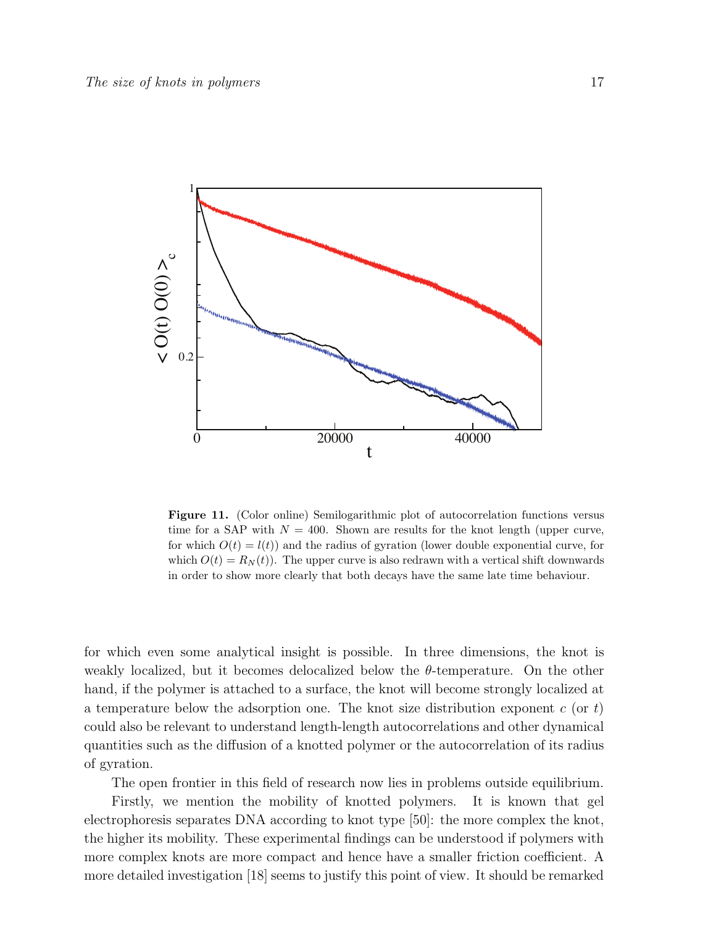

Figure 11. (Color online) Semilogarithmic plot of autocorrelation functions versus time for a SAP with  $N = 400$ . Shown are results for the knot length (upper curve, for which  $O(t) = l(t)$  and the radius of gyration (lower double exponential curve, for which  $O(t) = R<sub>N</sub>(t)$ . The upper curve is also redrawn with a vertical shift downwards in order to show more clearly that both decays have the same late time behaviour.

for which even some analytical insight is possible. In three dimensions, the knot is weakly localized, but it becomes delocalized below the  $\theta$ -temperature. On the other hand, if the polymer is attached to a surface, the knot will become strongly localized at a temperature below the adsorption one. The knot size distribution exponent  $c$  (or  $t$ ) could also be relevant to understand length-length autocorrelations and other dynamical quantities such as the diffusion of a knotted polymer or the autocorrelation of its radius of gyration.

The open frontier in this field of research now lies in problems outside equilibrium.

Firstly, we mention the mobility of knotted polymers. It is known that gel electrophoresis separates DNA according to knot type [50]: the more complex the knot, the higher its mobility. These experimental findings can be understood if polymers with more complex knots are more compact and hence have a smaller friction coefficient. A more detailed investigation [18] seems to justify this point of view. It should be remarked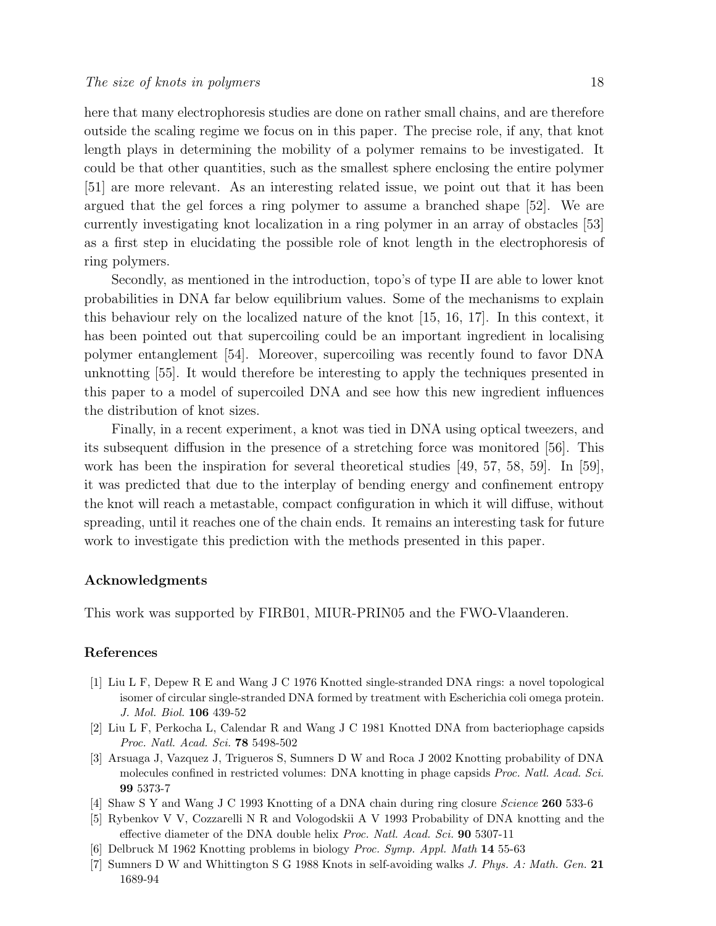here that many electrophoresis studies are done on rather small chains, and are therefore outside the scaling regime we focus on in this paper. The precise role, if any, that knot length plays in determining the mobility of a polymer remains to be investigated. It could be that other quantities, such as the smallest sphere enclosing the entire polymer [51] are more relevant. As an interesting related issue, we point out that it has been argued that the gel forces a ring polymer to assume a branched shape [52]. We are currently investigating knot localization in a ring polymer in an array of obstacles [53] as a first step in elucidating the possible role of knot length in the electrophoresis of ring polymers.

Secondly, as mentioned in the introduction, topo's of type II are able to lower knot probabilities in DNA far below equilibrium values. Some of the mechanisms to explain this behaviour rely on the localized nature of the knot [15, 16, 17]. In this context, it has been pointed out that supercoiling could be an important ingredient in localising polymer entanglement [54]. Moreover, supercoiling was recently found to favor DNA unknotting [55]. It would therefore be interesting to apply the techniques presented in this paper to a model of supercoiled DNA and see how this new ingredient influences the distribution of knot sizes.

Finally, in a recent experiment, a knot was tied in DNA using optical tweezers, and its subsequent diffusion in the presence of a stretching force was monitored [56]. This work has been the inspiration for several theoretical studies [49, 57, 58, 59]. In [59], it was predicted that due to the interplay of bending energy and confinement entropy the knot will reach a metastable, compact configuration in which it will diffuse, without spreading, until it reaches one of the chain ends. It remains an interesting task for future work to investigate this prediction with the methods presented in this paper.

## Acknowledgments

This work was supported by FIRB01, MIUR-PRIN05 and the FWO-Vlaanderen.

## References

- [1] Liu L F, Depew R E and Wang J C 1976 Knotted single-stranded DNA rings: a novel topological isomer of circular single-stranded DNA formed by treatment with Escherichia coli omega protein. J. Mol. Biol. 106 439-52
- [2] Liu L F, Perkocha L, Calendar R and Wang J C 1981 Knotted DNA from bacteriophage capsids Proc. Natl. Acad. Sci. 78 5498-502
- [3] Arsuaga J, Vazquez J, Trigueros S, Sumners D W and Roca J 2002 Knotting probability of DNA molecules confined in restricted volumes: DNA knotting in phage capsids Proc. Natl. Acad. Sci. 99 5373-7
- [4] Shaw S Y and Wang J C 1993 Knotting of a DNA chain during ring closure Science 260 533-6
- [5] Rybenkov V V, Cozzarelli N R and Vologodskii A V 1993 Probability of DNA knotting and the effective diameter of the DNA double helix Proc. Natl. Acad. Sci. 90 5307-11
- [6] Delbruck M 1962 Knotting problems in biology Proc. Symp. Appl. Math 14 55-63
- [7] Sumners D W and Whittington S G 1988 Knots in self-avoiding walks J. Phys. A: Math. Gen. 21 1689-94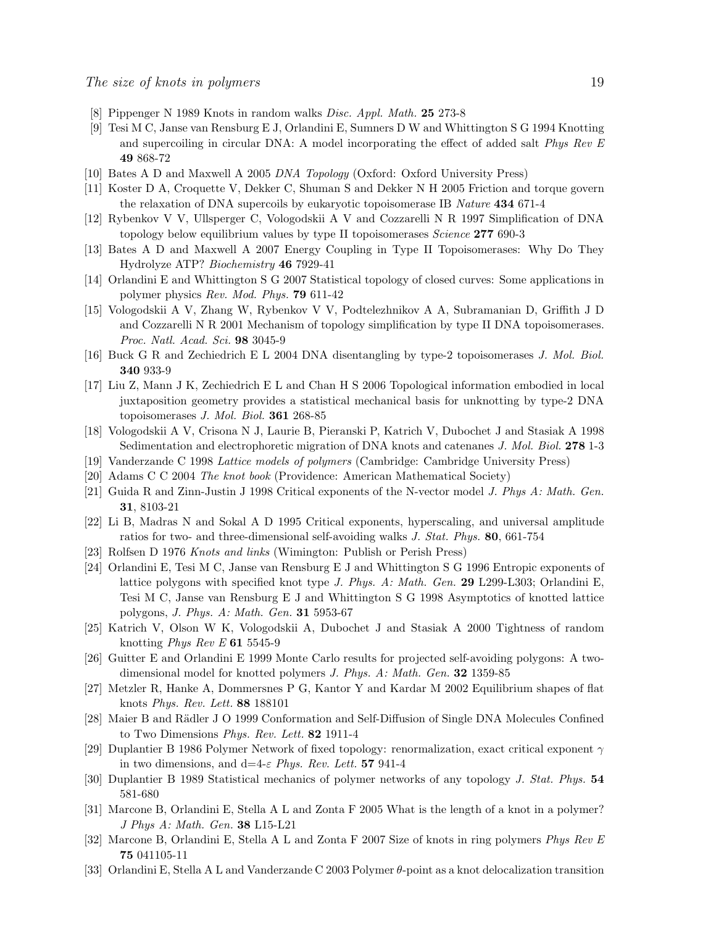- [8] Pippenger N 1989 Knots in random walks Disc. Appl. Math. 25 273-8
- [9] Tesi M C, Janse van Rensburg E J, Orlandini E, Sumners D W and Whittington S G 1994 Knotting and supercoiling in circular DNA: A model incorporating the effect of added salt Phys Rev E 49 868-72
- [10] Bates A D and Maxwell A 2005 DNA Topology (Oxford: Oxford University Press)
- [11] Koster D A, Croquette V, Dekker C, Shuman S and Dekker N H 2005 Friction and torque govern the relaxation of DNA supercoils by eukaryotic topoisomerase IB Nature 434 671-4
- [12] Rybenkov V V, Ullsperger C, Vologodskii A V and Cozzarelli N R 1997 Simplification of DNA topology below equilibrium values by type II topoisomerases Science 277 690-3
- [13] Bates A D and Maxwell A 2007 Energy Coupling in Type II Topoisomerases: Why Do They Hydrolyze ATP? Biochemistry 46 7929-41
- [14] Orlandini E and Whittington S G 2007 Statistical topology of closed curves: Some applications in polymer physics Rev. Mod. Phys. 79 611-42
- [15] Vologodskii A V, Zhang W, Rybenkov V V, Podtelezhnikov A A, Subramanian D, Griffith J D and Cozzarelli N R 2001 Mechanism of topology simplification by type II DNA topoisomerases. Proc. Natl. Acad. Sci. 98 3045-9
- [16] Buck G R and Zechiedrich E L 2004 DNA disentangling by type-2 topoisomerases J. Mol. Biol. 340 933-9
- [17] Liu Z, Mann J K, Zechiedrich E L and Chan H S 2006 Topological information embodied in local juxtaposition geometry provides a statistical mechanical basis for unknotting by type-2 DNA topoisomerases J. Mol. Biol. 361 268-85
- [18] Vologodskii A V, Crisona N J, Laurie B, Pieranski P, Katrich V, Dubochet J and Stasiak A 1998 Sedimentation and electrophoretic migration of DNA knots and catenanes J. Mol. Biol. 278 1-3
- [19] Vanderzande C 1998 Lattice models of polymers (Cambridge: Cambridge University Press)
- [20] Adams C C 2004 The knot book (Providence: American Mathematical Society)
- [21] Guida R and Zinn-Justin J 1998 Critical exponents of the N-vector model J. Phys A: Math. Gen. 31, 8103-21
- [22] Li B, Madras N and Sokal A D 1995 Critical exponents, hyperscaling, and universal amplitude ratios for two- and three-dimensional self-avoiding walks J. Stat. Phys. 80, 661-754
- [23] Rolfsen D 1976 Knots and links (Wimington: Publish or Perish Press)
- [24] Orlandini E, Tesi M C, Janse van Rensburg E J and Whittington S G 1996 Entropic exponents of lattice polygons with specified knot type J. Phys. A: Math. Gen. 29 L299-L303; Orlandini E, Tesi M C, Janse van Rensburg E J and Whittington S G 1998 Asymptotics of knotted lattice polygons, J. Phys. A: Math. Gen. 31 5953-67
- [25] Katrich V, Olson W K, Vologodskii A, Dubochet J and Stasiak A 2000 Tightness of random knotting Phys Rev E 61 5545-9
- [26] Guitter E and Orlandini E 1999 Monte Carlo results for projected self-avoiding polygons: A twodimensional model for knotted polymers J. Phys. A: Math. Gen. 32 1359-85
- [27] Metzler R, Hanke A, Dommersnes P G, Kantor Y and Kardar M 2002 Equilibrium shapes of flat knots Phys. Rev. Lett. 88 188101
- [28] Maier B and Rädler J O 1999 Conformation and Self-Diffusion of Single DNA Molecules Confined to Two Dimensions Phys. Rev. Lett. 82 1911-4
- [29] Duplantier B 1986 Polymer Network of fixed topology: renormalization, exact critical exponent  $\gamma$ in two dimensions, and  $d=4-\varepsilon$  Phys. Rev. Lett. 57 941-4
- [30] Duplantier B 1989 Statistical mechanics of polymer networks of any topology J. Stat. Phys. 54 581-680
- [31] Marcone B, Orlandini E, Stella A L and Zonta F 2005 What is the length of a knot in a polymer? J Phys A: Math. Gen. 38 L15-L21
- [32] Marcone B, Orlandini E, Stella A L and Zonta F 2007 Size of knots in ring polymers Phys Rev E 75 041105-11
- [33] Orlandini E, Stella A L and Vanderzande C 2003 Polymer θ-point as a knot delocalization transition